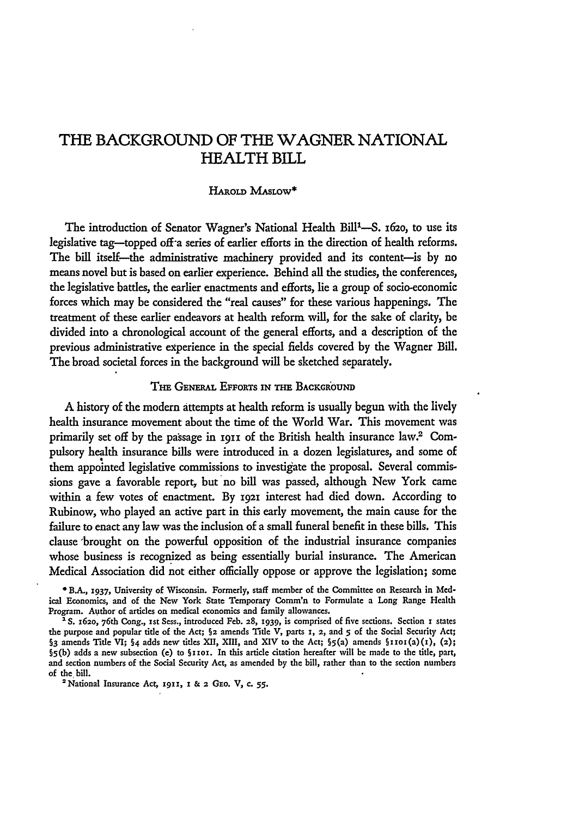# THE BACKGROUND OF THE WAGNER NATIONAL HEALTH BILL

# HAROLD MASLOW<sup>\*</sup>

The introduction of Senator Wagner's National Health Bill'-S. i620, to use its legislative tag-topped off a series of earlier efforts in the direction of health reforms. The bill itself-the administrative machinery provided and its content-is by no means novel but is based on earlier experience. Behind all the studies, the conferences, the legislative battles, the earlier enactments and efforts, lie a group of socio-economic forces which may be considered the "real causes" for these various happenings. The treatment of these earlier endeavors at health reform will, for the sake of clarity, be divided into a chronological account of the general efforts, and a description of the previous administrative experience in the special fields covered **by** the Wagner Bill. The broad societal forces in the background will be sketched separately.

# **THE GENERAL EFFORTS IN THE BACKGROUND**

**A** history of the modern attempts at health reform is usually begun with the lively health insurance movement about the time of the World War. This movement was primarily set off **by** the passage in **1911** of the British health insurance law.2 Compulsory health insurance bills were introduced in a dozen legislatures, and some of them appointed legislative commissions to investigate the proposal. Several commissions gave a favorable report, but no bill was passed, although New York came within a few votes of enactment. By 1921 interest had died down. According to Rubinow, who played an active part in this early movement, the main cause for the failure to enact any law was the inclusion of a small funeral benefit in these bills. This clause 'brought on the powerful opposition of the industrial insurance companies whose business is recognized as being essentially burial insurance. The American Medical Association did not either officially oppose or approve the legislation; some

**<sup>\*</sup> B.A., 1937,** University of Wisconsin. Formerly, staff member of **the** Committee on Research in **Med**ical Economics, and of the New York State Temporary Comm'n to Formulate a Long Range Health Program. Author of articles on medical economics and family allowances.

<sup>&</sup>lt;sup>3</sup> S. 1620, 76th Cong., 1st Sess., introduced Feb. 28, 1939, is comprised of five sections. Section 1 states<br>the purpose and popular title of the Act; §2 amends Title V, parts 1, 2, and 5 of the Social Security Act; §3 amends Title VI; §4 adds new titles XII, XIII, and XIV to the Act; §5(a) amends §1101(a)(1), (2) §5(b) adds a new subsection (e) to §1101. In this article citation hereafter will be made to the title, part, and section numbers of the Social Security Act, as amended **by** the bill, rather than to the section numbers of the bill.

<sup>&#</sup>x27;National Insurance Act, 191, **I & 2** GEo. V, **c.** *55.*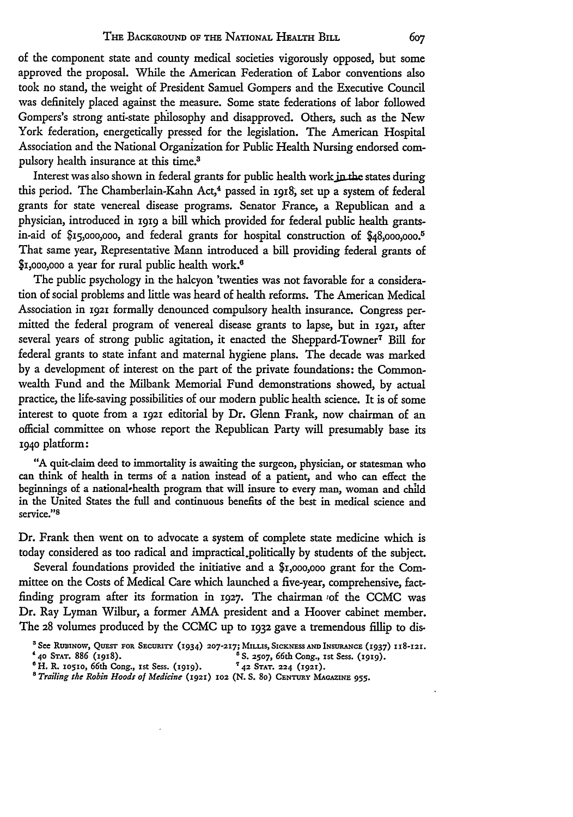of the component state and county medical societies vigorously opposed, but some approved the proposal. While the American Federation of Labor conventions also took no stand, the weight of President Samuel Gompers and the Executive Council was definitely placed against the measure. Some state federations of labor followed Gompers's strong anti-state philosophy and disapproved. Others, such as the New York federation, energetically pressed for the legislation. The American Hospital Association and the National Organization for Public Health Nursing endorsed compulsory health insurance at this time.<sup>3</sup>

Interest was also shown in federal grants for public health work in the states during this period. The Chamberlain-Kahn Act,<sup>4</sup> passed in 1918, set up a system of federal grants for state venereal disease programs. Senator France, a Republican and a physician, introduced in **i9i9** a bill which provided for federal public health grantsin-aid of \$15,ooooo, and federal grants for hospital construction of \$48,000,000.5 That same year, Representative Mann introduced a bill providing federal grants of \$i,ooo,ooo a year for rural public health work.'

The public psychology in the halcyon 'twenties was not favorable for a consideration of social problems and little was heard of health reforms. The American Medical Association in **1921** formally denounced compulsory health insurance. Congress permitted the federal program of venereal disease grants to lapse, but in **i92i,** after several years of strong public agitation, it enacted the Sheppard-Towner<sup>7</sup> Bill for federal grants to state infant and maternal hygiene plans. The decade was marked **by** a development of interest on the part of the private foundations: the Commonwealth Fund and the Milbank Memorial Fund demonstrations showed, by actual practice, the life-saving possibilities of our modern public health science. It is of some interest to quote from a **1921** editorial by Dr. Glenn Frank, now chairman of an official committee on whose report the Republican Party will presumably base its i94o platform:

"A quit-claim deed to immortality is awaiting the surgeon, physician, or statesman who can think of health in terms of a nation instead of a patient, and who can effect the beginnings of a national-health program that will insure to every man, woman and child in the United States the full and continuous benefits of the best in medical science and service."<sup>8</sup>

Dr. Frank then went on to advocate a system of complete state medicine which is today considered as too radical and impractical.politically by students of the subject.

Several foundations provided the initiative and a \$1,000,000 grant for the Committee on the Costs of Medical Care which launched a five-year, comprehensive, factfinding program after its formation in **1927.** The chairman 'of the CCMC was Dr. Ray Lyman Wilbur, a former **AMA** president and a Hoover cabinet member. The **28** volumes produced **by** the CCMC up to 1932 gave a tremendous fillip to dis.

**<sup>&#</sup>x27;See** RuBINow, **QU=ST FOR SECURITY** (934) **207-217; MILLIS, SICKNESS AND INSURANCE (1937) 118-121.**

<sup>40</sup> **STAT. 886 (1918).** *'* **S. 2507, 66th Cong., Ist Sess. (i919).**

**<sup>&#</sup>x27;H. R. 1051o, 66th Cong.,** Ist **Sess. (igg). 1 42 STAT. 224 (192r).** *' Trailing the Robin Hoods of Medicine* **(1921) 102 (N. S. 8o) CENTURY MAGAZINE 955.**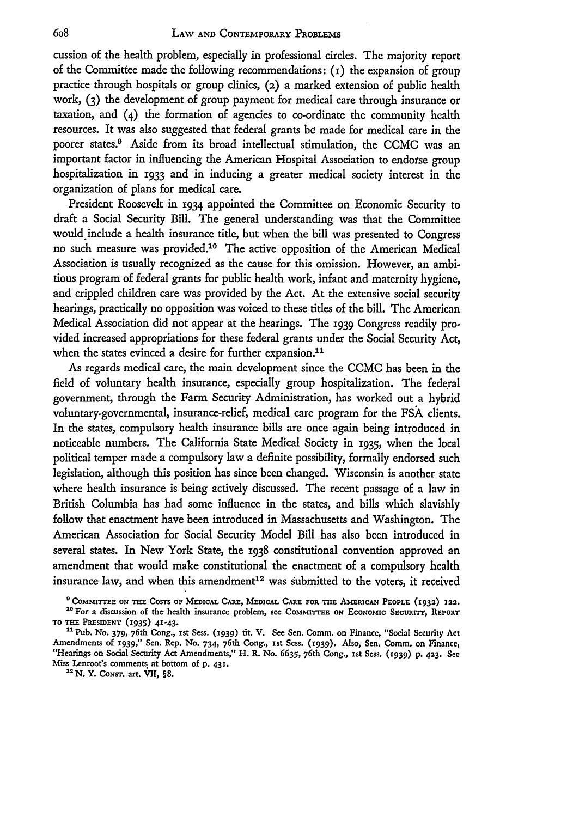# 6o8 LAw **AND** CONTEMPORARY PROBLEMS

cussion of the health problem, especially in professional circles. The majority report of the Committee made the following recommendations:  $(1)$  the expansion of group practice through hospitals or group clinics, **(2)** a marked extension of public health work, **(3)** the development of group payment for medical care through insurance or taxation, and (4) the formation of agencies to co-ordinate the community health resources. It was also suggested that federal grants be made for medical care in the poorer states.9 Aside from its broad intellectual stimulation, the CCMC was an important factor in influencing the American Hospital Association to endotse group hospitalization in 1933 and in inducing a greater medical society interest in the organization of plans for medical care.

President Roosevelt in 1934 appointed the Committee on Economic Security to draft a Social Security Bill. The general understanding was that the Committee would include a health insurance title, but when the bill was presented to Congress no such measure was provided.10 The active opposition of the American Medical Association is usually recognized as the cause for this omission. However, an ambitious program of federal grants for public health work, infant and maternity hygiene, and crippled children care was provided by the Act. At the extensive social security hearings, practically no opposition was voiced to these tides of the bill. The American Medical Association did not appear at the hearings. The 1939 Congress readily provided increased appropriations for these federal grants under the Social Security Act, when the states evinced a desire for further expansion.<sup>11</sup>

As regards medical care, the main development since the CCMC has been in the field of voluntary health insurance, especially group hospitalization. The federal government, through the Farm Security Administration, has worked out a hybrid voluntary-governmental, insurance-relief, medical care program for the FSA clients. In the states, compulsory health insurance bills are once again being introduced in noticeable numbers. The California State Medical Society in 1935, when the local political temper made a compulsory law a definite possibility, formally endorsed such legislation, although this position has since been changed. Wisconsin is another state where health insurance is being actively discussed. The recent passage of a law in British Columbia has had some influence in the states, and bills which slavishly follow that enactment have been introduced in Massachusetts and Washington. The American Association for Social Security Model Bill has also been introduced in several states. In New York State, the 1938 constitutional convention approved an amendment that would make constitutional the enactment of a compulsory health insurance law, and when this amendment<sup>12</sup> was submitted to the voters, it received

<sup>&#</sup>x27;CoMMITrE ON **rHe CoSTs OF MEDICAL** CARE, **MEDICAL CARE FOR THE AMERICAN PEOPLE (1932) 122.**

**<sup>&</sup>quot;o** For a discussion **of** the health insurance problem, see **COMMITTEE ON ECONOMIC SEcuRuTT, REPORT** TO rHE **PREsIDENr (935)** 41-43. **" 1Pub. No. 379,** 76th **Cong.,** ist **Sess. (1939) tit. V. See Sen.** Comm. **on** Finance, **"Social Security Act**

**Amendments of 1939," Sen. Rep. No. 734,** <sup>7</sup> 6th **Cong., Ist Sess. (1939). Also, Sen. Comm. on** Finance, **"Hearings on** Social Security **Act** Amendments," **H. R. No. 6635, 7 6th** Cong., Ist **Sess. (1939) p. 423. See** Miss Lenroot's comments at bottom of p. 431.<br><sup>12</sup> N. Y. Const. art. VII, §8.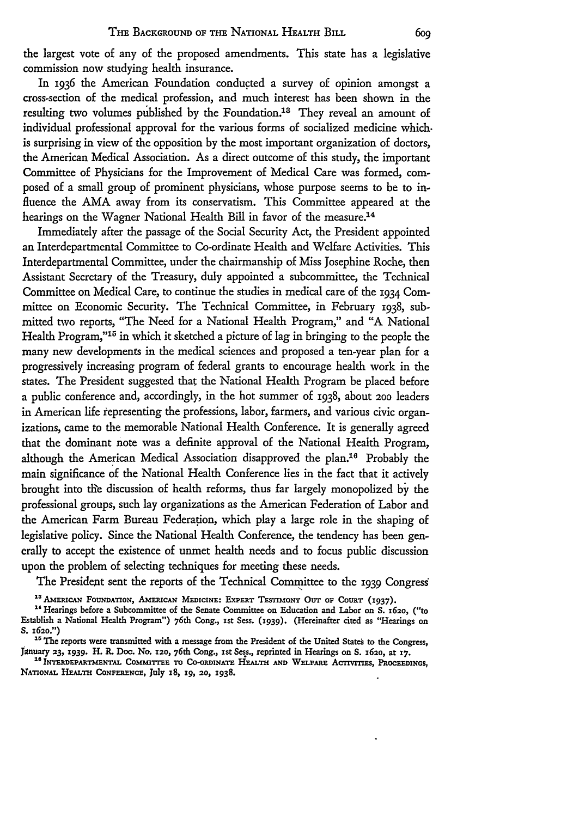the largest vote of any of the proposed amendments. This state has a legislative commission now studying health insurance.

In **1936** the American Foundation conducted a survey of opinion amongst a cross-section of the medical profession, and much interest has been shown in the resulting two volumes published by the Foundation.<sup>13</sup> They reveal an amount of individual professional approval for the various forms of socialized medicine which. is surprising in view of the opposition by the most important organization of doctors, the American Medical Association. As a direct outcome of this study, the important Committee of Physicians for the Improvement of Medical Care was formed, composed of a small group of prominent physicians, whose purpose seems to be to influence the **AMA** away from its conservatism. This Committee appeared at the hearings on the Wagner National Health Bill in favor of the measure.<sup>14</sup>

Immediately after the passage of the Social Security Act, the President appointed an Interdepartmental Committee to Co-ordinate Health and Welfare Activities. This Interdepartmental Committee, under the chairmanship of Miss Josephine Roche, then Assistant Secretary of the Treasury, duly appointed a subcommittee, the Technical Committee on Medical Care, to continue the studies in medical care of the 1934 Committee on Economic Security. The Technical Committee, in February 1938, submitted two reports, "The Need for a National Health Program," and "A National Health Program," $15$  in which it sketched a picture of lag in bringing to the people the many new developments in the medical sciences and proposed a ten-year plan for a progressively increasing program of federal grants to encourage health work in the states. The President suggested that the National Health Program be placed before a public conference and, accordingly, in the hot summer of **1938,** about **200** leaders in American life representing the professions, labor, farmers, and various civic organizations, came to the memorable National Health Conference. It is generally agreed that the dominant note was a definite approval of the National Health Program, although the American Medical Association disapproved the plan.16 Probably the main significance of the National Health Conference lies in the fact that it actively brought into the discussion of health reforms, thus far largely monopolized **by** the professional groups, such lay organizations as the American Federation of Labor and the American Farm Bureau Federation, which play a large role in the shaping of legislative policy. Since the National Health Conference, the tendency has been generally to accept the existence of unmet health needs and to focus public discussion upon the problem of selecting techniques for meeting these needs.

The President sent the reports of the Technical Committee to the 1939 Congress

<sup>13</sup> AMERICAN FOUNDATION, AMERICAN MEDICINE: EXPERT TESTIMONY OUT OF COURT (1937).

**<sup>&</sup>quot;' Hearings** before **a Subcommittee of the Senate Committee on Education and Labor on S. 162o, ("to Establish a National Health Program")** 76th Cong., **ist Sess. (1939).** (Hereinafter **cited as "Hearings on S. i62o.")**

<sup>&</sup>lt;sup>15</sup> The reports were transmitted with a message from the President of the United States to the Congress, January 23, 1939. H. R. Doc. No. 120, 76th Cong., 1st Sess., reprinted in Hearings on S. 1620, at 17.<br><sup>16</sup> INTERDEPARTMENTAL COMMITTEE TO CO-ORDINATE HEALTH AND WELFARE ACTIVITIES, PROCEEDINGS,

NATIONAL **HEALTH CONFsRENCE, July** 18, **19, 20, 1938.**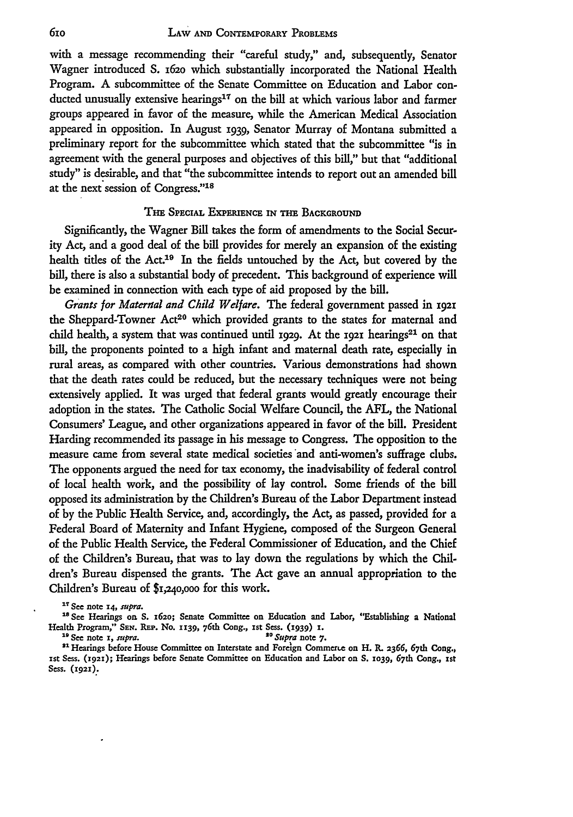with a message recommending their "careful study," and, subsequently, Senator Wagner introduced S. i62o which substantially incorporated the National Health Program. **A** subcommittee of the Senate Committee on Education and Labor conducted unusually extensive hearings<sup>17</sup> on the bill at which various labor and farmer groups appeared in favor of the measure, while the American Medical Association appeared in opposition. In August 1939, Senator Murray of Montana submitted a preliminary report for the subcommittee which stated that the subcommittee "is in agreement with the general purposes and objectives of this bill," but that "additional study" is desirable, and that "the subcommittee intends to report out an amended bill at the next session of Congress."18

# THE SPECIAL EXPERIENCE IN THE BACKGROUND

Significantly, the Wagner Bill takes the form of amendments to the Social Security Act, and a good deal of the bill provides for merely an expansion of the existing health titles of the Act.19 In the fields untouched by the Act, but covered by the bill, there is also a substantial body of precedent. This background of experience will be examined in connection with each type of aid proposed by the bill.

*Grants for Matertal and Child Welfare.* The federal government passed in **x921** the Sheppard-Towner Act<sup>20</sup> which provided grants to the states for maternal and child health, a system that was continued until 1929. At the 1921 hearings<sup>21</sup> on that bill, the proponents pointed to a high infant and maternal death rate, especially in rural areas, as compared with other countries. Various demonstrations had shown that the death rates could be reduced, but the necessary techniques were not being extensively applied. It was urged that federal grants would greatly encourage their adoption in the states. The Catholic Social Welfare Council, the **AFL,** the National Consumers' League, and other organizations appeared in favor of the bill. President Harding recommended its passage in his message to Congress. The opposition to the measure came from several state medical societies and anti-women's suffrage clubs. The opponents argued the need for tax economy, the inadvisability of federal control of local health work, and the possibility of lay control. Some friends of the bill opposed its administration by the Children's Bureau of the Labor Department instead of by the Public Health Service, and, accordingly, the Act, as passed, provided for a Federal Board of Maternity and Infant Hygiene, composed of the Surgeon General of the Public Health Service, the Federal Commissioner of Education, and the Chief of the Children's Bureau, that was to lay down the regulations by which the Children's Bureau dispensed the grants. The Act gave an annual appropriation to the Children's Bureau of \$1,240,000 for this work.

<sup>17</sup> See note 14, *supra*.<br><sup>18</sup> See Hearings on S. 1620; Senate Committee on Education and Labor, "Establishing a National Health Program," **SEN. REP.** No. **1139,** 76th Cong., Ist Sess. **(x939) x.** *"* **See** note *x,* supra. **"** Supra note **7.**

<sup>21</sup> Hearings before House Committee on Interstate and Foreign Commerce on H. R. 2366, 67th Cong., ist **Ses. (1921);** Hearings before Senate Committee on Education and Labor on **S. 2o39,** 67th Cong., ist Sess. **(1921).**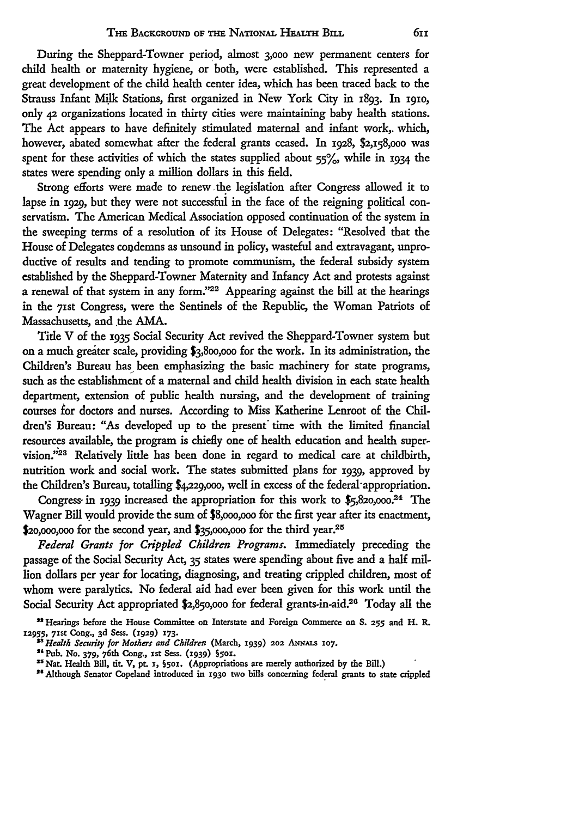During the Sheppard-Towner period, almost 3,000 new permanent centers for child health or maternity hygiene, or both, were established. This represented a great development of the child health center idea, which has been traced back to the Strauss Infant Milk Stations, first organized in New York City in 1893. In 1910, only **42** organizations located in thirty cities were maintaining baby health stations. The Act appears to have definitely stimulated maternal and infant work,. which, however, abated somewhat after the federal grants ceased. In 1928, \$2,158,000 was spent for these activities of which the states supplied about  $55\%$ , while in 1934 the states were spending only a million dollars in this field.

Strong efforts were made to renew the legislation after Congress allowed it to lapse in 1929, but they were not successful in the face of the reigning political conservatism. The American Medical Association opposed continuation of the system in the sweeping terms of a resolution of its House of Delegates: "Resolved that the House of Delegates condemns as unsound in policy, wasteful and extravagant, unproductive of results and tending to promote communism, the federal subsidy system established by the Sheppard-Towner Maternity and Infancy Act and protests against a renewal of that system in any form."22 Appearing against the bill at the hearings in the 71st Congress, were the Sentinels of the Republic, the Woman Patriots of Massachusetts, and the AMA.

Title V of the 1935 Social Security Act revived the Sheppard-Towner system but on a much greater scale, providing \$3,800,000 for the work. In its administration, the Children's Bureau has been emphasizing the basic machinery for state programs, such as the establishment of a maternal and child health division in each state health department, extension of public health nursing, and the development of training courses for doctors and nurses. According to Miss Katherine Lenroot of the Children's Bureau: "As developed up to the present time with the limited financial resources available, the program is chiefly one of health education and health supervision."<sup>23</sup> Relatively little has been done in regard to medical care at childbirth, nutrition work and social work. The states submitted plans for 1939, approved by the Children's Bureau, totalling \$4,229,ooo, well in excess of the federal-appropriation.

Congress in 1939 increased the appropriation for this work to  $$5,820,000.<sup>24</sup>$  The Wagner Bill would provide the sum of \$8,000,000 for the first year after its enactment,  $$20,000,000$  for the second year, and  $$35,000,000$  for the third year.<sup>25</sup>

*Federal Grants for Crippled Children Programs.* Immediately preceding the passage of the Social Security Act, 35 states were spending about five and a half million dollars per year for locating, diagnosing, and treating crippled children, most of whom were paralytics. No federal aid had ever been given for this work until the Social Security Act appropriated \$2,850,000 for federal grants-in-aid.<sup>26</sup> Today all the

<sup>&</sup>lt;sup>23</sup> Hearings before the House Committee on Interstate and Foreign Commerce on S. 255 and H. R. **12955, 71st** Cong., **<sup>3</sup> d** Sess. **(1929) 173.**

*<sup>&</sup>quot; Health Security for Mothers and Children* (March, **1939) 2o2 ANNAI.s 107.**

<sup>&</sup>lt;sup>24</sup> Pub. No. 379, 76th Cong., 1st Sess. (1939) §501.<br><sup>25</sup> Nat. Health Bill, tit. V, pt. 1, §501. (Appropriations are merely authorized by the Bill.)

<sup>&</sup>quot;Although Senator Copeland introduced in *193o* two bills concerning federal grants to state crippled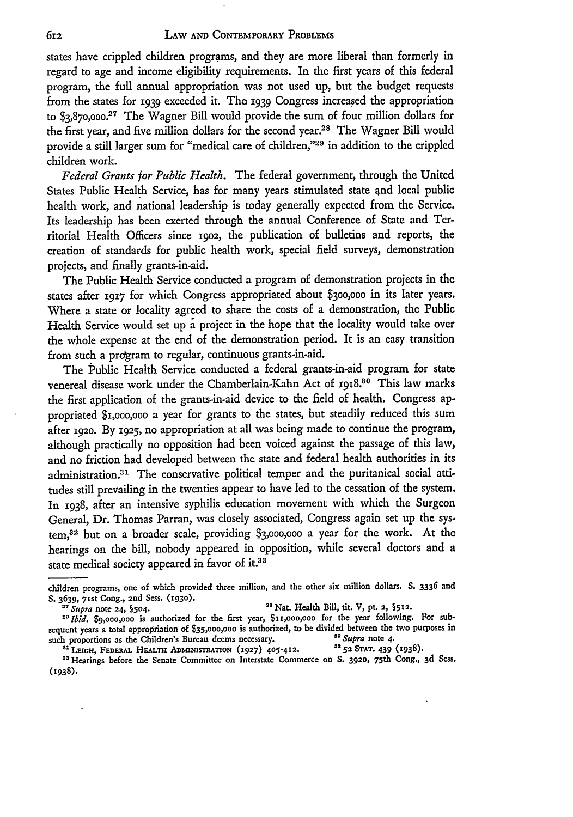states have crippled children programs, and they are more liberal than formerly in regard to age and income eligibility requirements. In the first years of this federal program, the full annual appropriation was not used up, but the budget requests from the states for 1939 exceeded it. The 1939 Congress increased the appropriation to **\$3,870,000.27** The Wagner Bill would provide the sum of four million dollars for the first year, and five million dollars for the second **year.28** The Wagner Bill would provide a still larger sum for "medical care of children,"<sup>29</sup> in addition to the crippled children work.

*Federal Grants for Public Health.* The federal government, through the United States Public Health Service, has for many years stimulated state and local public health work, and national leadership is today generally expected from the Service. Its leadership has been exerted through the annual Conference of State and Territorial Health Officers since **1902,** the publication of bulletins and reports, the creation of standards for public health work, special field surveys, demonstration projects, and finally grants-in-aid.

The Public Health Service conducted a program of demonstration projects in the states after **1917** for which Congress appropriated about **\$300,000** in its later years. Where a state or locality agreed to share the costs of a demonstration, the Public Health Service would set up a project in the hope that the locality would take over the whole expense at the end of the demonstration period. It is an easy transition from such a program to regular, continuous grants-in-aid.

The Public Health Service conducted a federal grants-in-aid program for state venereal disease work under the Chamberlain-Kahn Act of **1918.80** This law marks the first application of the grants-in-aid device to the field of health. Congress appropriated \$1,000,000 a year for grants to the states, but steadily reduced this sum after **1920.** By **1925,** no appropriation at all was being made to continue the program, although practically no opposition had been voiced against the passage of this law, and no friction had developed between the state and federal health authorities in its administration.<sup>31</sup> The conservative political temper and the puritanical social attitudes still prevailing in the twenties appear to have led to the cessation of the system. In 1938, after an intensive syphilis education movement with which the Surgeon General, Dr. Thomas Parran, was closely associated, Congress again set up the system, 32 but on a broader scale, providing **\$3,000,000** a year for the work. At the hearings on the bill, nobody appeared in opposition, while several doctors and a state medical society appeared in favor of it.

children programs, **one of** which provided three million, and the other **six** million dollars. **S. 3336 and S. 3639,** 71st **Cong., 2nd Sess. (1930).**

*<sup>27</sup> Supra* note 24, **§504. 28** Nat. Health Bill, **tit. V, pt. 2, §552.**

*<sup>&</sup>quot;9Ibid.* **\$g,ooo,ooo** is authorized **for** the first year, **\$xi,ooo,ooo for** the **year following. For** subsequent years a total appropriation **of \$35,000,000** is authorized, **to be** divided between **the** two purposes **in** such proportions as the Children's Bureau deems necessary. <sup>50</sup> Supra note 4.<br><sup>31</sup> LEIGH. FEDERAL HEALTH ADMINISTRATION (1927) 405-412. <sup>32</sup> 52 STAT. 439 (1938).

<sup>&</sup>lt;sup>31</sup> LEIGH, FEDERAL HEALTH ADMINISTRATION (1927) 405-412.

<sup>&</sup>lt;sup>33</sup> Hearings before the Senate Committee on Interstate Commerce on S. 3920, 75th Cong., 3d Sess. **(1938).**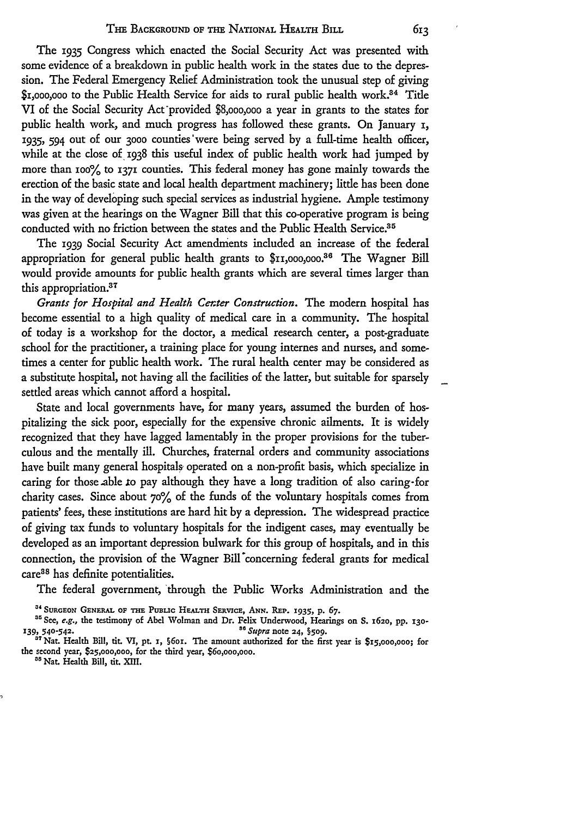The 1935 Congress which enacted the Social Security Act was presented with some evidence of a breakdown in public health work in the states due to the depression. The Federal Emergency Relief Administration took the unusual step of giving \$1,000,000 to the Public Health Service for aids to rural public health work.<sup>34</sup> Title VI of the Social Security Act-provided \$8,oooooo a year in grants to the states for public health work, and much progress has followed these grants. On January i, 1935, *594* out of our **3000** counties'were being served by a full-time health officer, while at the close of 1938 this useful index of public health work had jumped by more than ioo% to **1371** counties. This federal money has gone mainly towards the erection of the basic state and local health department machinery; little has been done in the way of developing such special services as industrial hygiene. Ample testimony was given at the hearings on the Wagner Bill that this co-operative program is being conducted with no friction between the states and the Public Health Service.<sup>35</sup>

The 1939 Social Security Act amendments included an increase of the federal appropriation for general public health grants to \$11,000,000.<sup>36</sup> The Wagner Bill would provide amounts for public health grants which are several times larger than this appropriation.<sup>37</sup>

*Grants for Hospital and Health Center Construction.* The modern hospital has become essential to a high quality of medical care in a community. The hospital of today is a workshop for the doctor, a medical research center, a post-graduate school for the practitioner, a training place for young internes and nurses, and sometimes a center for public health work. The rural health center may be considered as a substitute hospital, not having all the facilities of the latter, but suitable for sparsely settled areas which cannot afford a hospital.

State and local governments have, for many years, assumed the burden of hospitalizing the sick poor, especially for the expensive chronic ailments. It is widely recognized that they have lagged lamentably in the proper provisions for the tuberculous and the mentally ill. Churches, fraternal orders and community associations have built many general hospitals operated on a non-profit basis, which specialize in caring for those able to pay although they have a long tradition of also caring-for charity cases. Since about **70%** of the funds of the voluntary hospitals comes from patients' fees, these institutions are hard hit by a depression. The widespread practice of giving tax funds to voluntary hospitals for the indigent cases, may eventually be developed as an important depression bulwark for this group of hospitals, and in this connection, the provision of the Wagner Bill concerning federal grants for medical care<sup>88</sup> has definite potentialities.

The federal government, through the Public Works Administration and the

<sup>34</sup> SURGEON GENERAL OF THE PUBLIC HEALTH SERVICE, ANN. REP. 1935, p. 67.

<sup>&#</sup>x27;5 See, **e.g.,** the testimony of **Abel** Wolman and Dr. Felix Underwood, Hearings **on S. x620, pp. 130- 139, 540-542. 88** *Supra* note **24, §509. 88** 

**<sup>&</sup>quot;** Nat. Health Bill, tit. **VI,** pt. **r,** §6ox. **The** amount authorized for **the** first year is \$15,ooo,ooo; for the second year, **\$25,000,000,** for the third year, S6o,ooo,ooo. **08 Nat.** Health Bill, tit. **XIII.**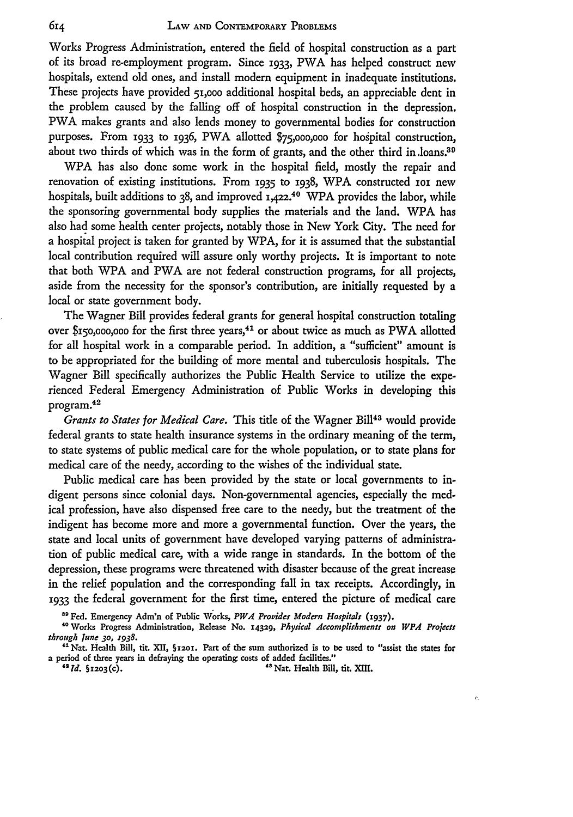Works Progress Administration, entered the field of hospital construction as a part of its broad re-employment program. Since 1933, PWA has helped construct new hospitals, extend old ones, and install modern equipment in inadequate institutions. These projects have provided 51,ooo additional hospital beds, an appreciable dent in the problem caused by the falling off of hospital construction in the depression. PWA makes grants and also lends money to governmental bodies for construction purposes. From 1933 to 1936, PWA allotted **\$75,000,000** for hospital construction, about two thirds of which was in the form of grants, and the other third in loans. $39$ 

WPA has also done some work in the hospital field, mostly the repair and renovation of existing institutions. From 1935 to 1938, WPA constructed **oi** new hospitals, built additions to 38, and improved 1,422.<sup>40</sup> WPA provides the labor, while the sponsoring governmental body supplies the materials and the land. WPA has also had some health center projects, notably those in New York City. The need for a hospital project is taken for granted by WPA, for it is assumed that the substantial local contribution required will assure only worthy projects. It is important to note that both WPA and PWA are not federal construction programs, for all projects, aside from the necessity for the sponsor's contribution, are initially requested by a local or state government body.

The Wagner Bill provides federal grants for general hospital construction totaling over **\$150,000,000** for the first three years, 41 or about twice as much as PWA allotted for all hospital work in a comparable period. In addition, a "sufficient" amount is to be appropriated for the building of more mental and tuberculosis hospitals. The Wagner Bill specifically authorizes the Public Health Service to utilize the experienced Federal Emergency Administration of Public Works in developing this program. 42

Grants to States for Medical Care. This title of the Wagner Bill<sup>43</sup> would provide federal grants to state health insurance systems in the ordinary meaning of the term, to state systems of public medical care for the whole population, or to state plans for medical care of the needy, according to the wishes of the individual state.

Public medical care has been provided by the state or local governments to indigent persons since colonial days. Non-governmental agencies, especially the medical profession, have also dispensed free care to the needy, but the treatment of the indigent has become more and more a governmental function. Over the years, the state and local units of government have developed varying patterns of administration of public medical care, with a wide range in standards. In the bottom of the depression, these programs were threatened with disaster because of the great increase in the relief population and the corresponding fall in tax receipts. Accordingly, in **1933** the federal government for the first time, entered the picture of medical care

*"Id.* **§1203(c). 4" Nat. Health Bill, tit. XIII.**

ċ.

**<sup>:9</sup> Fed. Emergency Adm'n of Public Works,** *PWA Provides Modern Hospitals* **(937). 0 Works Progress Administration, Release No. 14329,** *Physical Accomplishments on WPA Projects through June 30,* **1938.**

**<sup>4&</sup>quot;Nat. Health Bill, tit. XII, §x2o. Part of the sum authorized is to be used to "assist the states for a period of three years in defraying the operating costs of added facilities."**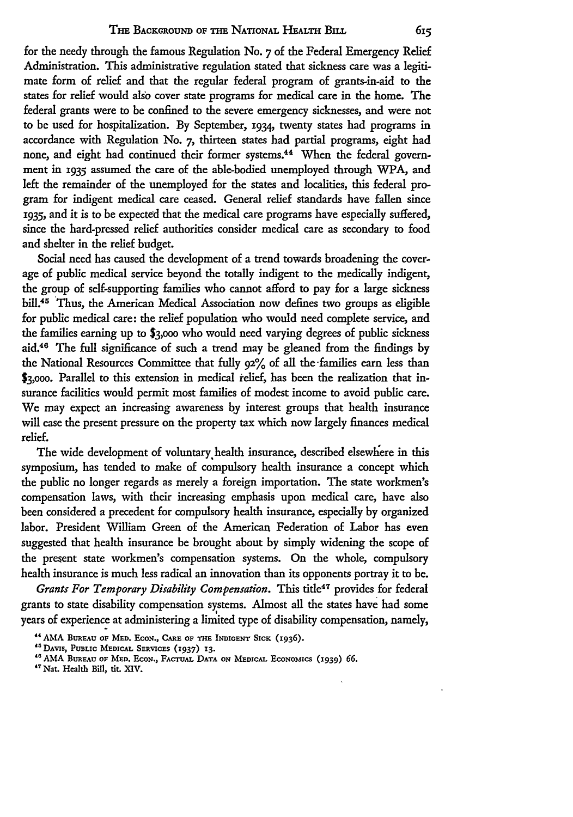for the needy through the famous Regulation **No.** 7 **of** the Federal Emergency Relief Administration. This administrative regulation stated that sickness care was a legitimate form of relief and that the regular federal program of grants-in-aid to the states for relief would also cover state programs for medical care in the home. The federal grants were to be confined to the severe emergency sicknesses, and were not to be used for hospitalization. **By** September, **1934,** twenty states had programs in accordance with Regulation No. **7,** thirteen states had partial programs, eight had none, and eight had continued their former systems.<sup>44</sup> When the federal government in 1935 assumed the care of the able-bodied unemployed through **WPA,** and left the remainder of the unemployed for the states and localities, this federal program for indigent medical care ceased. General relief standards have fallen since **1935,** and it is to be expected that the medical care programs have especially suffered, since the hard-pressed relief authorities consider medical care as secondary to food and shelter in the relief budget.

Social need has caused the development of a trend towards broadening the coverage of public medical service beyond the totally indigent to the medically indigent, the group of self-supporting families who cannot afford to pay for a large sickness bill.<sup>45</sup> Thus, the American Medical Association now defines two groups as eligible for public medical care: the relief population who would need complete service, and the families earning up to \$3,ooo who would need varying degrees of public sickness aid. 46 The full significance of such a trend may be gleaned from the findings **by** the National Resources Committee that fully 92% of all the families earn less than \$3,ooo. Parallel to this extension in medical relief, has been the realization that insurance facilities would permit most families of modest income to avoid public care. We may expect an increasing awareness **by** interest groups that health insurance will ease the present pressure on the property tax which now largely finances medical relief.

The wide development of voluntary health insurance, described elsewhere in this symposium, has tended to make of compulsory health insurance a concept which the public no longer regards as merely a foreign importation. The state workmen's compensation laws, with their increasing emphasis upon medical care, have also been considered a precedent for compulsory health insurance, especially **by** organized labor. President William Green of the American Federation of Labor has even suggested that health insurance be brought about **by** simply widening the scope of the present state workmen's compensation systems. On the whole, compulsory health insurance is much less radical an innovation than its opponents portray it to be.

Grants For Temporary Disability Compensation. This title<sup>47</sup> provides for federal grants to state disability compensation systems. Almost all the states have had some years of experience at administering a limited type of disability compensation, namely,

**<sup>&</sup>quot;AMA BUREAU oF MED. EcoN., CARE oF THE INDIGENT SICK** (936).

**<sup>&</sup>quot;DAVIS, PUBLIC MEDICAL SERVICES (1937) 13.**

**<sup>&</sup>quot;AMA BUREAU OF MED. EcoN., FACrUAL DATA ON MEDICAL ECONOMICS (1939)** *66.*

<sup>47</sup> Nat. Health Bill, **tit. XIV.**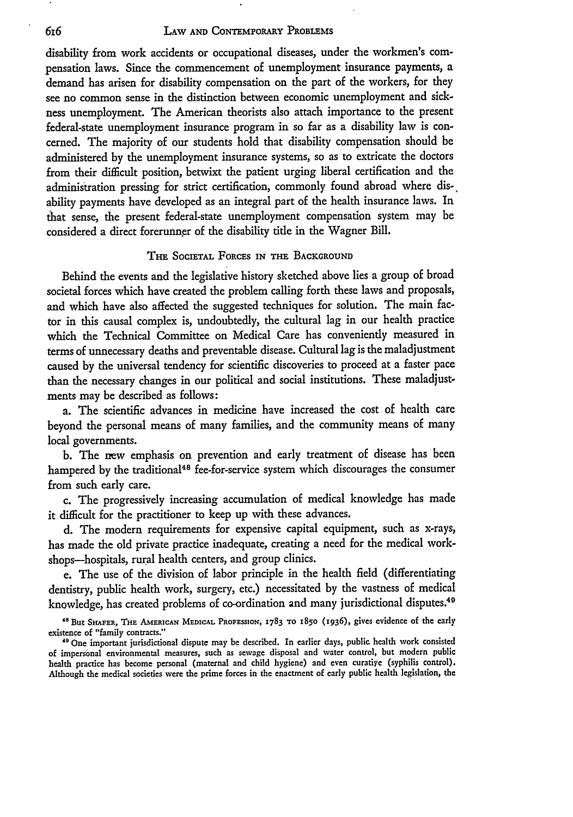#### LAW **AND** CONTEMPORARY PROBLEMS

disability from work accidents or occupational diseases, under the workmen's compensation laws. Since the commencement of unemployment insurance payments, a demand has arisen for disability compensation on the part of the workers, for they see no common sense in the distinction between economic unemployment and sickness unemployment. The American theorists also attach importance to the present federal-state unemployment insurance program in so far as a disability law is concerned. The majority of our students hold that disability compensation should be administered by the unemployment insurance systems, so as to extricate the doctors from their difficult position, betwixt the patient urging liberal certification and the administration pressing for strict certification, commonly found abroad where disability payments have developed as an integral part of the health insurance laws. In that sense, the present federal-state unemployment compensation system may be considered a direct forerunner of the disability title in the Wagner Bill.

### **THE SOCIETAL** FoRcEs **IN THE BACKGROUND**

Behind the events and the legislative history sketched above lies a group of broad societal forces which have created the problem calling forth these laws and proposals, and which have also affected the suggested techniques for solution. The main factor in this causal complex is, undoubtedly, the cultural lag in our health practice which the Technical Committee on Medical Care has conveniently measured in terms of unnecessary deaths and preventable disease. Cultural lag is the maladjustment caused by the universal tendency for scientific discoveries to proceed at a faster pace than the necessary changes in our political and social institutions. These maladjustments may be described as follows:

a. The scientific advances in medicine have increased the cost of health care beyond the personal means of many families, and the community means of many local governments.

b. The new emphasis on prevention and early treatment of disease has been hampered by the traditional<sup>48</sup> fee-for-service system which discourages the consumer from such early care.

c. The progressively increasing accumulation of medical knowledge has made it difficult for the practitioner to keep up with these advances.

d. The modern requirements for expensive capital equipment, such as x-rays, has made the old private practice inadequate, creating a need for the medical workshops-hospitals, rural health centers, and group clinics.

e. The use of the division of labor principle in the health field (differentiating dentistry, public health work, surgery, etc.) necessitated by the vastness of medical knowledge, has created problems of co-ordination and many jurisdictional disputes.49

<sup>48</sup> But SHAFER, THE AMERICAN MEDICAL PROFESSION, 1783 TO 1850 (1936), gives evidence of the early **existence of** "family contracts."

616

<sup>&</sup>quot;9 One important jurisdictional dispute may **be** described. In earlier days, public health work consisted of impersonal environmental measures, such as sewage disposal and water control, but modern public health practice has become personal (maternal and child hygiene) and even curatiye (syphilis control). Although the medical societies were the prime forces in the enactment of early public health legislation, the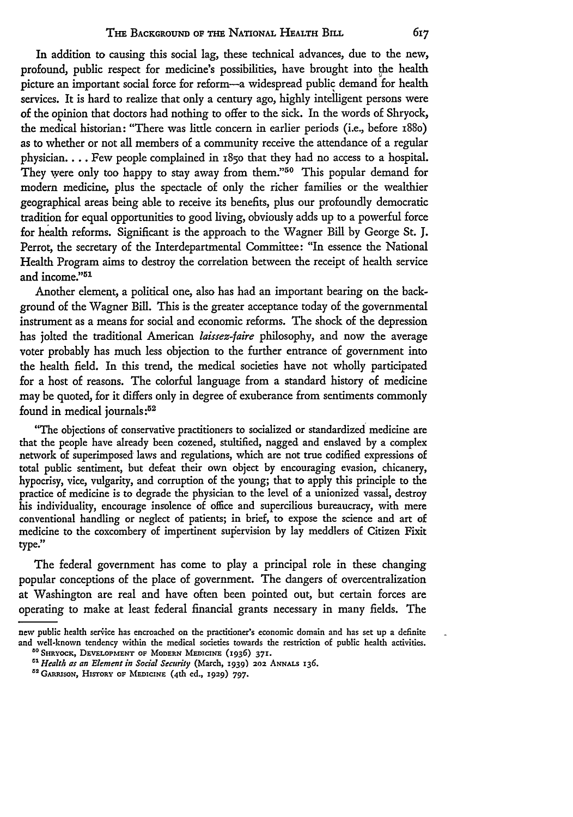In addition to causing this social lag, these technical advances, due to the new, profound, public respect for medicine's possibilities, have brought into the health picture an important social force for reform-a widespread public demand for health services. It is hard to realize that only a century ago, highly intelligent persons were of the opinion that doctors had nothing to offer to the sick. In the words of Shryock, the medical historian: "There was little concern in earlier periods (i.e., before i88o) as to whether or not all members of a community receive the attendance of a regular physician.... Few people complained in **1850** that they had no access to a hospital. They were only too happy to stay away from them."<sup>50</sup> This popular demand for modern medicine, plus the spectacle of only the richer families or the wealthier geographical areas being able to receive its benefits, plus our profoundly democratic tradition for equal opportunities to good living, obviously adds up to a powerful force for health reforms. Significant is the approach to the Wagner Bill by George St. J. Perrot, the secretary of the Interdepartmental Committee: "In essence the National Health Program aims to destroy the correlation between the receipt of health service and income."<sup>51</sup>

Another element, a political one, also has had an important bearing on the background of the Wagner Bill. This is the greater acceptance today of the governmental instrument as a means for social and economic reforms. The shock of the depression has jolted the traditional American *laissez-faire* philosophy, and now the average voter probably has much less objection to the further entrance of government into the health field. In this trend, the medical societies have not wholly participated for a host of reasons. The colorful language from a standard history of medicine may be quoted, for it differs only in degree of exuberance from sentiments commonly found in medical journals **:52**

"The objections of conservative practitioners to socialized or standardized medicine are that the people have already been cozened, stultified, nagged and enslaved by a complex network of superimposed laws and regulations, which are not true codified expressions of total public sentiment, but defeat their own object by encouraging evasion, chicanery, hypocrisy, vice, vulgarity, and corruption of the young; that to apply this principle to the practice of medicine is to degrade the physician to the level of a unionized vassal, destroy his individuality, encourage insolence of office and supercilious bureaucracy, with mere conventional handling or neglect of patients; in brief, to expose the science and art of medicine to the coxcombery of impertinent supervision by lay meddlers of Citizen Fixit type."

The federal government has come to play a principal role in these changing popular conceptions of the place of government. The dangers of overcentralization at Washington are real and have often been pointed out, but certain forces are operating to make at least federal financial grants necessary in many fields. The

new public health service has encroached on the practitioner's economic domain and has set up a definite and well-known tendency within the medical societies towards the restriction of public health activities.

**<sup>10</sup>SHRYOCK, DEVELOPMENT OF MODERN MEICINE** (936) *371.*

*Health as an Element in Social Security* (March, 1939) **202 ANNALS** 136.

<sup>&</sup>lt;sup>52</sup> GARRISON, HISTORY OF MEDICINE (4th ed., 1929) 797.